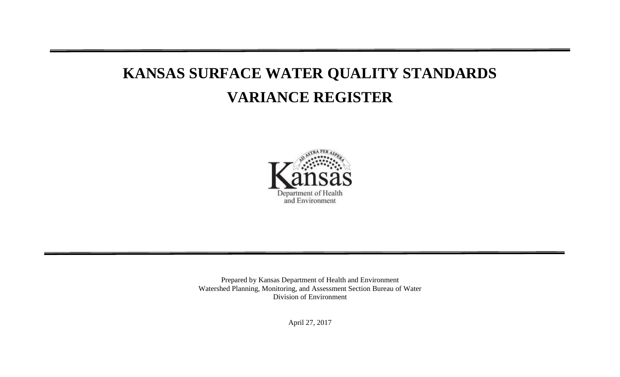# **KANSAS SURFACE WATER QUALITY STANDARDS VARIANCE REGISTER**



Prepared by Kansas Department of Health and Environment Watershed Planning, Monitoring, and Assessment Section Bureau of Water Division of Environment

April 27, 2017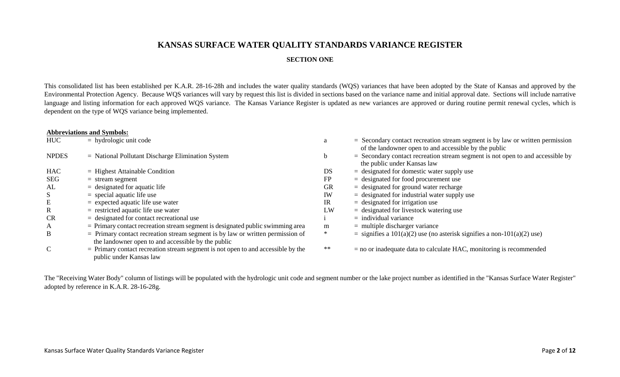## **KANSAS SURFACE WATER QUALITY STANDARDS VARIANCE REGISTER**

### **SECTION ONE**

This consolidated list has been established per K.A.R. 28-16-28h and includes the water quality standards (WQS) variances that have been adopted by the State of Kansas and approved by the Environmental Protection Agency. Because WQS variances will vary by request this list is divided in sections based on the variance name and initial approval date. Sections will include narrative language and listing information for each approved WQS variance. The Kansas Variance Register is updated as new variances are approved or during routine permit renewal cycles, which is dependent on the type of WQS variance being implemented.

|  | <b>Abbreviations and Symbols:</b> |  |
|--|-----------------------------------|--|
|--|-----------------------------------|--|

| <b>HUC</b>    | $=$ hydrologic unit code                                                           |           | $=$ Secondary contact recreation stream segment is by law or written permission                                 |
|---------------|------------------------------------------------------------------------------------|-----------|-----------------------------------------------------------------------------------------------------------------|
|               |                                                                                    |           | of the landowner open to and accessible by the public                                                           |
| <b>NPDES</b>  | $=$ National Pollutant Discharge Elimination System                                |           | $=$ Secondary contact recreation stream segment is not open to and accessible by<br>the public under Kansas law |
| <b>HAC</b>    | $=$ Highest Attainable Condition                                                   | DS        | $=$ designated for domestic water supply use                                                                    |
| SEG           | $=$ stream segment                                                                 | FP        | $=$ designated for food procurement use                                                                         |
| AL            | $=$ designated for aquatic life                                                    | <b>GR</b> | $=$ designated for ground water recharge                                                                        |
| S             | $=$ special aquatic life use                                                       | IW        | $=$ designated for industrial water supply use                                                                  |
| E             | $=$ expected aquatic life use water                                                | IR        | $=$ designated for irrigation use                                                                               |
| $\mathbf R$   | $=$ restricted aquatic life use water                                              | LW        | $=$ designated for livestock watering use                                                                       |
| <b>CR</b>     | $=$ designated for contact recreational use                                        |           | $=$ individual variance                                                                                         |
| A             | $=$ Primary contact recreation stream segment is designated public swimming area   | m         | $=$ multiple discharger variance                                                                                |
| B             | $=$ Primary contact recreation stream segment is by law or written permission of   | $\ast$    | $=$ signifies a 101(a)(2) use (no asterisk signifies a non-101(a)(2) use)                                       |
|               | the landowner open to and accessible by the public                                 |           |                                                                                                                 |
| $\mathcal{C}$ | $=$ Primary contact recreation stream segment is not open to and accessible by the | $**$      | $=$ no or inadequate data to calculate HAC, monitoring is recommended                                           |
|               | public under Kansas law                                                            |           |                                                                                                                 |

The "Receiving Water Body" column of listings will be populated with the hydrologic unit code and segment number or the lake project number as identified in the "Kansas Surface Water Register" adopted by reference in K.A.R. 28-16-28g.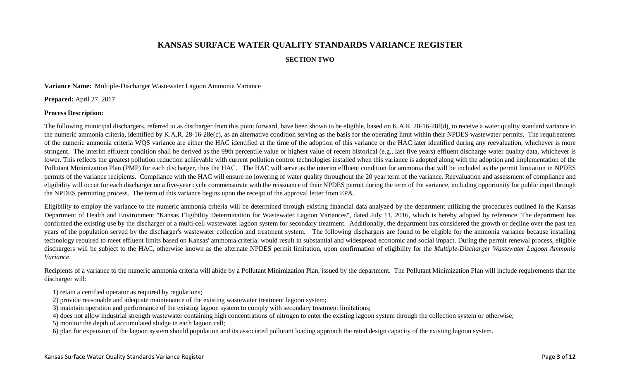## **KANSAS SURFACE WATER QUALITY STANDARDS VARIANCE REGISTER**

#### **SECTION TWO**

**Variance Name:** Multiple-Discharger Wastewater Lagoon Ammonia Variance

**Prepared:** April 27, 2017

#### **Process Description:**

The following municipal dischargers, referred to as discharger from this point forward, have been shown to be eligible, based on K.A.R. 28-16-28f(d), to receive a water quality standard variance to the numeric ammonia criteria, identified by K.A.R. 28-16-28e(c), as an alternative condition serving as the basis for the operating limit within their NPDES wastewater permits. The requirements of the numeric ammonia criteria WQS variance are either the HAC identified at the time of the adoption of this variance or the HAC later identified during any reevaluation, whichever is more stringent. The interim effluent condition shall be derived as the 99th percentile value or highest value of recent historical (e.g., last five years) effluent discharge water quality data, whichever is lower. This reflects the greatest pollution reduction achievable with current pollution control technologies installed when this variance is adopted along with the adoption and implementation of the Pollutant Minimization Plan (PMP) for each discharger, thus the HAC. The HAC will serve as the interim effluent condition for ammonia that will be included as the permit limitation in NPDES permits of the variance recipients. Compliance with the HAC will ensure no lowering of water quality throughout the 20 year term of the variance. Reevaluation and assessment of compliance and eligibility will occur for each discharger on a five-year cycle commensurate with the reissuance of their NPDES permit during the term of the variance, including opportunity for public input through the NPDES permitting process. The term of this variance begins upon the receipt of the approval letter from EPA.

Eligibility to employ the variance to the numeric ammonia criteria will be determined through existing financial data analyzed by the department utilizing the procedures outlined in the Kansas Department of Health and Environment "Kansas Eligibility Determination for Wastewater Lagoon Variances", dated July 11, 2016, which is hereby adopted by reference. The department has confirmed the existing use by the discharger of a multi-cell wastewater lagoon system for secondary treatment. Additionally, the department has considered the growth or decline over the past ten years of the population served by the discharger's wastewater collection and treatment system. The following dischargers are found to be eligible for the ammonia variance because installing technology required to meet effluent limits based on Kansas' ammonia criteria, would result in substantial and widespread economic and social impact. During the permit renewal process, eligible dischargers will be subject to the HAC, otherwise known as the alternate NPDES permit limitation, upon confirmation of eligibility for the *Multiple-Discharger Wastewater Lagoon Ammonia Variance*.

Recipients of a variance to the numeric ammonia criteria will abide by a Pollutant Minimization Plan, issued by the department. The Pollutant Minimization Plan will include requirements that the discharger will:

1) retain a certified operator as required by regulations;

- 2) provide reasonable and adequate maintenance of the existing wastewater treatment lagoon system;
- 3) maintain operation and performance of the existing lagoon system to comply with secondary treatment limitations;

4) does not allow industrial strength wastewater containing high concentrations of nitrogen to enter the existing lagoon system through the collection system or otherwise;

5) monitor the depth of accumulated sludge in each lagoon cell;

6) plan for expansion of the lagoon system should population and its associated pollutant loading approach the rated design capacity of the existing lagoon system.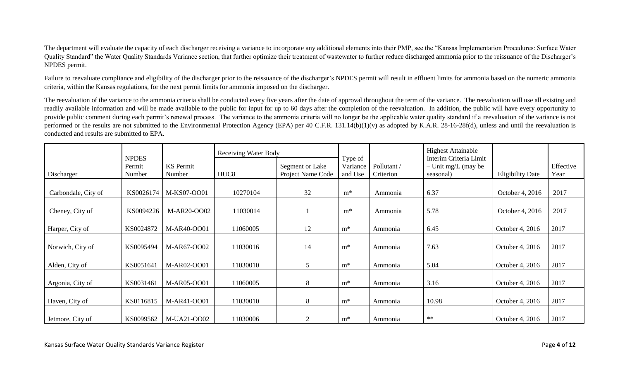The department will evaluate the capacity of each discharger receiving a variance to incorporate any additional elements into their PMP, see the "Kansas Implementation Procedures: Surface Water Quality Standard" the Water Quality Standards Variance section, that further optimize their treatment of wastewater to further reduce discharged ammonia prior to the reissuance of the Discharger's NPDES permit.

Failure to reevaluate compliance and eligibility of the discharger prior to the reissuance of the discharger's NPDES permit will result in effluent limits for ammonia based on the numeric ammonia criteria, within the Kansas regulations, for the next permit limits for ammonia imposed on the discharger.

The reevaluation of the variance to the ammonia criteria shall be conducted every five years after the date of approval throughout the term of the variance. The reevaluation will use all existing and readily available information and will be made available to the public for input for up to 60 days after the completion of the reevaluation. In addition, the public will have every opportunity to provide public comment during each permit's renewal process. The variance to the ammonia criteria will no longer be the applicable water quality standard if a reevaluation of the variance is not performed or the results are not submitted to the Environmental Protection Agency (EPA) per 40 C.F.R. 131.14(b)(1)(v) as adopted by K.A.R. 28-16-28f(d), unless and until the reevaluation is conducted and results are submitted to EPA.

|                     |                                  |                            | <b>Receiving Water Body</b> |                                      |                                |                          | <b>Highest Attainable</b>                                    |                         |                   |
|---------------------|----------------------------------|----------------------------|-----------------------------|--------------------------------------|--------------------------------|--------------------------|--------------------------------------------------------------|-------------------------|-------------------|
| Discharger          | <b>NPDES</b><br>Permit<br>Number | <b>KS</b> Permit<br>Number | HUC <sub>8</sub>            | Segment or Lake<br>Project Name Code | Type of<br>Variance<br>and Use | Pollutant /<br>Criterion | Interim Criteria Limit<br>$-$ Unit mg/L (may be<br>seasonal) | <b>Eligibility Date</b> | Effective<br>Year |
| Carbondale, City of | KS0026174                        | M-KS07-OO01                | 10270104                    | 32                                   | $m^*$                          | Ammonia                  | 6.37                                                         | October 4, 2016         | 2017              |
| Cheney, City of     | KS0094226                        | M-AR20-OO02                | 11030014                    |                                      | $m^*$                          | Ammonia                  | 5.78                                                         | October 4, 2016         | 2017              |
| Harper, City of     | KS0024872                        | M-AR40-OO01                | 11060005                    | 12                                   | $m^*$                          | Ammonia                  | 6.45                                                         | October 4, 2016         | 2017              |
| Norwich, City of    | KS0095494                        | M-AR67-OO02                | 11030016                    | 14                                   | $m^*$                          | Ammonia                  | 7.63                                                         | October 4, 2016         | 2017              |
| Alden, City of      | KS0051641                        | M-AR02-OO01                | 11030010                    | 5                                    | $m^*$                          | Ammonia                  | 5.04                                                         | October 4, 2016         | 2017              |
| Argonia, City of    | KS0031461                        | M-AR05-OO01                | 11060005                    | 8                                    | $m^*$                          | Ammonia                  | 3.16                                                         | October 4, 2016         | 2017              |
| Haven, City of      | KS0116815                        | M-AR41-OO01                | 11030010                    | 8                                    | $m^*$                          | Ammonia                  | 10.98                                                        | October 4, 2016         | 2017              |
| Jetmore, City of    | KS0099562                        | M-UA21-OO02                | 11030006                    | $\overline{2}$                       | $m^*$                          | Ammonia                  | $**$                                                         | October 4, 2016         | 2017              |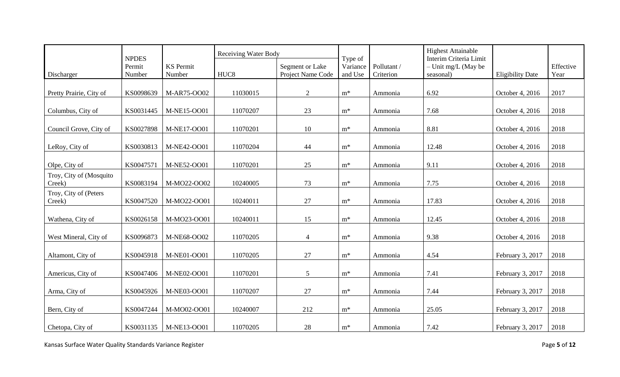|                                   |                        |                  | <b>Receiving Water Body</b> |                   |                     |             | <b>Highest Attainable</b>                       |                         |           |
|-----------------------------------|------------------------|------------------|-----------------------------|-------------------|---------------------|-------------|-------------------------------------------------|-------------------------|-----------|
|                                   | <b>NPDES</b><br>Permit | <b>KS</b> Permit |                             | Segment or Lake   | Type of<br>Variance | Pollutant / | Interim Criteria Limit<br>$-$ Unit mg/L (May be |                         | Effective |
| Discharger                        | Number                 | Number           | HUC <sub>8</sub>            | Project Name Code | and Use             | Criterion   | seasonal)                                       | <b>Eligibility Date</b> | Year      |
|                                   |                        |                  |                             |                   |                     |             |                                                 |                         |           |
| Pretty Prairie, City of           | KS0098639              | M-AR75-OO02      | 11030015                    | 2                 | $m^*$               | Ammonia     | 6.92                                            | October 4, 2016         | 2017      |
| Columbus, City of                 | KS0031445              | M-NE15-OO01      | 11070207                    | 23                | $m^*$               | Ammonia     | 7.68                                            | October 4, 2016         | 2018      |
|                                   |                        |                  |                             |                   |                     |             |                                                 |                         |           |
| Council Grove, City of            | KS0027898              | M-NE17-OO01      | 11070201                    | 10                | $m^*$               | Ammonia     | 8.81                                            | October 4, 2016         | 2018      |
| LeRoy, City of                    | KS0030813              | M-NE42-OO01      | 11070204                    | 44                | $m^*$               | Ammonia     | 12.48                                           | October 4, 2016         | 2018      |
|                                   |                        |                  |                             |                   |                     |             |                                                 |                         |           |
| Olpe, City of                     | KS0047571              | M-NE52-OO01      | 11070201                    | 25                | $m^*$               | Ammonia     | 9.11                                            | October 4, 2016         | 2018      |
| Troy, City of (Mosquito<br>Creek) | KS0083194              | M-MO22-OO02      | 10240005                    | 73                | $m^*$               | Ammonia     | 7.75                                            | October 4, 2016         | 2018      |
| Troy, City of (Peters<br>Creek)   | KS0047520              | M-MO22-OO01      | 10240011                    | 27                | $m^*$               | Ammonia     | 17.83                                           | October 4, 2016         | 2018      |
|                                   |                        |                  |                             |                   |                     |             |                                                 |                         |           |
| Wathena, City of                  | KS0026158              | M-MO23-OO01      | 10240011                    | 15                | $m^*$               | Ammonia     | 12.45                                           | October 4, 2016         | 2018      |
| West Mineral, City of             | KS0096873              | M-NE68-OO02      | 11070205                    | $\overline{4}$    | $m^*$               | Ammonia     | 9.38                                            | October 4, 2016         | 2018      |
|                                   |                        |                  |                             |                   |                     |             |                                                 |                         |           |
| Altamont, City of                 | KS0045918              | M-NE01-OO01      | 11070205                    | 27                | $m^*$               | Ammonia     | 4.54                                            | February 3, 2017        | 2018      |
| Americus, City of                 | KS0047406              | M-NE02-OO01      | 11070201                    | 5                 | $m^*$               | Ammonia     | 7.41                                            | February 3, 2017        | 2018      |
|                                   |                        |                  |                             |                   |                     |             |                                                 |                         |           |
| Arma, City of                     | KS0045926              | M-NE03-OO01      | 11070207                    | 27                | $m^*$               | Ammonia     | 7.44                                            | February 3, 2017        | 2018      |
| Bern, City of                     | KS0047244              | M-MO02-OO01      | 10240007                    | 212               | $m^*$               | Ammonia     | 25.05                                           | February 3, 2017        | 2018      |
|                                   |                        |                  |                             |                   |                     |             |                                                 |                         |           |
| Chetopa, City of                  | KS0031135              | M-NE13-OO01      | 11070205                    | 28                | $m^*$               | Ammonia     | 7.42                                            | February 3, 2017        | 2018      |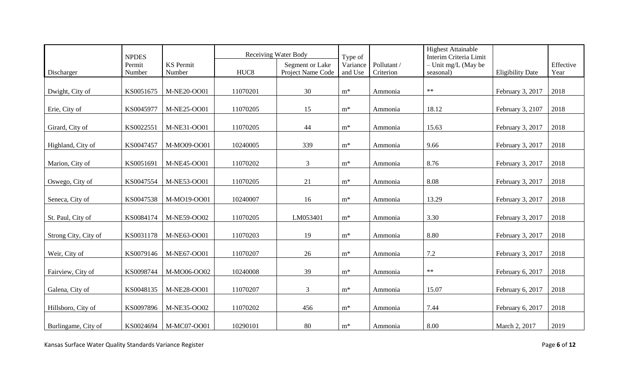|                      | <b>NPDES</b> |                  |                  | <b>Receiving Water Body</b> | Type of        |            | <b>Highest Attainable</b><br>Interim Criteria Limit |                         |           |
|----------------------|--------------|------------------|------------------|-----------------------------|----------------|------------|-----------------------------------------------------|-------------------------|-----------|
|                      | Permit       | <b>KS</b> Permit |                  | Segment or Lake             | Variance       | Pollutant/ | - Unit mg/L (May be                                 |                         | Effective |
| Discharger           | Number       | Number           | HUC <sub>8</sub> | Project Name Code           | and Use        | Criterion  | seasonal)                                           | <b>Eligibility Date</b> | Year      |
|                      |              |                  |                  |                             |                |            |                                                     |                         |           |
| Dwight, City of      | KS0051675    | M-NE20-OO01      | 11070201         | 30                          | $m^*$          | Ammonia    | $\ast\ast$                                          | February 3, 2017        | 2018      |
| Erie, City of        | KS0045977    | M-NE25-OO01      | 11070205         | 15                          | $m^*$          | Ammonia    | 18.12                                               | February 3, 2107        | 2018      |
| Girard, City of      | KS0022551    | M-NE31-OO01      | 11070205         | 44                          | $m^*$          | Ammonia    | 15.63                                               | February 3, 2017        | 2018      |
| Highland, City of    | KS0047457    | M-MO09-OO01      | 10240005         | 339                         | $m^*$          | Ammonia    | 9.66                                                | February 3, 2017        | 2018      |
| Marion, City of      | KS0051691    | M-NE45-OO01      | 11070202         | $\mathfrak{Z}$              | $m^*$          | Ammonia    | 8.76                                                | February 3, 2017        | 2018      |
| Oswego, City of      | KS0047554    | M-NE53-OO01      | 11070205         | 21                          | $m^*$          | Ammonia    | 8.08                                                | February 3, 2017        | 2018      |
| Seneca, City of      | KS0047538    | M-MO19-OO01      | 10240007         | 16                          | $m^*$          | Ammonia    | 13.29                                               | February 3, 2017        | 2018      |
| St. Paul, City of    | KS0084174    | M-NE59-OO02      | 11070205         | LM053401                    | $\mathbf{m}^*$ | Ammonia    | 3.30                                                | February 3, 2017        | 2018      |
| Strong City, City of | KS0031178    | M-NE63-OO01      | 11070203         | 19                          | $m^*$          | Ammonia    | 8.80                                                | February 3, 2017        | 2018      |
| Weir, City of        | KS0079146    | M-NE67-OO01      | 11070207         | 26                          | $m^*$          | Ammonia    | 7.2                                                 | February 3, 2017        | 2018      |
| Fairview, City of    | KS0098744    | M-MO06-OO02      | 10240008         | 39                          | $m^*$          | Ammonia    | $**$                                                | February 6, 2017        | 2018      |
| Galena, City of      | KS0048135    | M-NE28-OO01      | 11070207         | $\mathfrak{Z}$              | $m^*$          | Ammonia    | 15.07                                               | February 6, 2017        | 2018      |
| Hillsboro, City of   | KS0097896    | M-NE35-OO02      | 11070202         | 456                         | $m^*$          | Ammonia    | 7.44                                                | February 6, 2017        | 2018      |
| Burlingame, City of  | KS0024694    | M-MC07-OO01      | 10290101         | 80                          | $m^*$          | Ammonia    | 8.00                                                | March 2, 2017           | 2019      |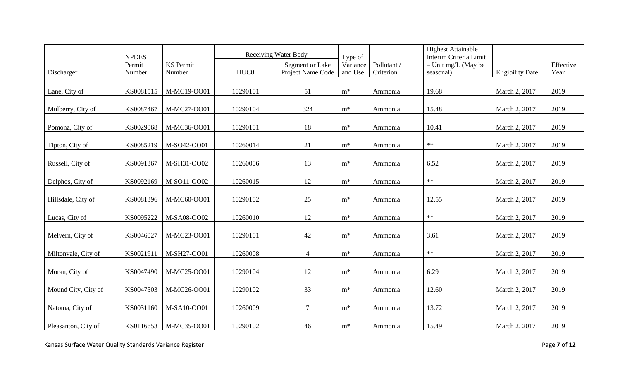|                     | <b>NPDES</b> |                  |                  | <b>Receiving Water Body</b> | Type of        |            | <b>Highest Attainable</b><br>Interim Criteria Limit |                         |           |
|---------------------|--------------|------------------|------------------|-----------------------------|----------------|------------|-----------------------------------------------------|-------------------------|-----------|
|                     | Permit       | <b>KS</b> Permit |                  | Segment or Lake             | Variance       | Pollutant/ | $-$ Unit mg/L (May be                               |                         | Effective |
| Discharger          | Number       | Number           | HUC <sub>8</sub> | Project Name Code           | and Use        | Criterion  | seasonal)                                           | <b>Eligibility Date</b> | Year      |
|                     |              |                  |                  |                             |                |            |                                                     |                         |           |
| Lane, City of       | KS0081515    | M-MC19-OO01      | 10290101         | 51                          | $m^*$          | Ammonia    | 19.68                                               | March 2, 2017           | 2019      |
| Mulberry, City of   | KS0087467    | M-MC27-OO01      | 10290104         | 324                         | $m^*$          | Ammonia    | 15.48                                               | March 2, 2017           | 2019      |
| Pomona, City of     | KS0029068    | M-MC36-OO01      | 10290101         | 18                          | $\mathbf{m}^*$ | Ammonia    | 10.41                                               | March 2, 2017           | 2019      |
| Tipton, City of     | KS0085219    | M-SO42-OO01      | 10260014         | 21                          | $m^*$          | Ammonia    | $\ast\ast$                                          | March 2, 2017           | 2019      |
| Russell, City of    | KS0091367    | M-SH31-OO02      | 10260006         | 13                          | $\mathbf{m}^*$ | Ammonia    | 6.52                                                | March 2, 2017           | 2019      |
| Delphos, City of    | KS0092169    | M-SO11-OO02      | 10260015         | 12                          | $\mathbf{m}^*$ | Ammonia    | $\ast\ast$                                          | March 2, 2017           | 2019      |
| Hillsdale, City of  | KS0081396    | M-MC60-OO01      | 10290102         | 25                          | $m^*$          | Ammonia    | 12.55                                               | March 2, 2017           | 2019      |
| Lucas, City of      | KS0095222    | M-SA08-OO02      | 10260010         | 12                          | $m^*$          | Ammonia    | $\ast\ast$                                          | March 2, 2017           | 2019      |
| Melvern, City of    | KS0046027    | M-MC23-OO01      | 10290101         | 42                          | $m^*$          | Ammonia    | 3.61                                                | March 2, 2017           | 2019      |
| Miltonvale, City of | KS0021911    | M-SH27-OO01      | 10260008         | $\overline{4}$              | $m^*$          | Ammonia    | $\ast\ast$                                          | March 2, 2017           | 2019      |
| Moran, City of      | KS0047490    | M-MC25-OO01      | 10290104         | 12                          | $m^*$          | Ammonia    | 6.29                                                | March 2, 2017           | 2019      |
| Mound City, City of | KS0047503    | M-MC26-OO01      | 10290102         | 33                          | $\mathbf{m}^*$ | Ammonia    | 12.60                                               | March 2, 2017           | 2019      |
| Natoma, City of     | KS0031160    | M-SA10-OO01      | 10260009         | $\tau$                      | $m^*$          | Ammonia    | 13.72                                               | March 2, 2017           | 2019      |
| Pleasanton, City of | KS0116653    | M-MC35-OO01      | 10290102         | 46                          | $\mathbf{m}^*$ | Ammonia    | 15.49                                               | March 2, 2017           | 2019      |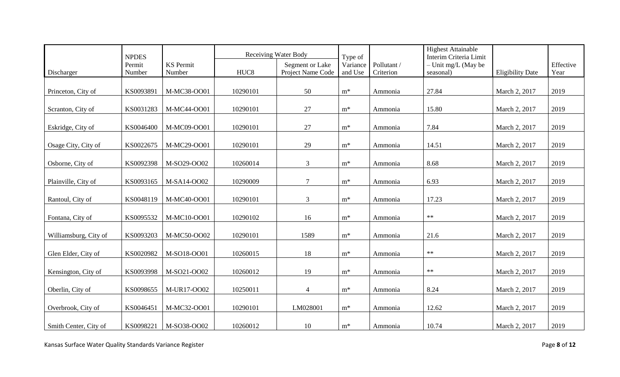|                       | <b>NPDES</b> |                  |                  | <b>Receiving Water Body</b> | Type of        |            | <b>Highest Attainable</b><br>Interim Criteria Limit |                         |           |
|-----------------------|--------------|------------------|------------------|-----------------------------|----------------|------------|-----------------------------------------------------|-------------------------|-----------|
|                       | Permit       | <b>KS</b> Permit |                  | Segment or Lake             | Variance       | Pollutant/ | $-$ Unit mg/L (May be                               |                         | Effective |
| Discharger            | Number       | Number           | HUC <sub>8</sub> | Project Name Code           | and Use        | Criterion  | seasonal)                                           | <b>Eligibility Date</b> | Year      |
|                       |              |                  |                  |                             |                |            |                                                     |                         |           |
| Princeton, City of    | KS0093891    | M-MC38-OO01      | 10290101         | 50                          | $m^*$          | Ammonia    | 27.84                                               | March 2, 2017           | 2019      |
| Scranton, City of     | KS0031283    | M-MC44-OO01      | 10290101         | 27                          | $m^*$          | Ammonia    | 15.80                                               | March 2, 2017           | 2019      |
| Eskridge, City of     | KS0046400    | M-MC09-OO01      | 10290101         | 27                          | $\mathbf{m}^*$ | Ammonia    | 7.84                                                | March 2, 2017           | 2019      |
| Osage City, City of   | KS0022675    | M-MC29-OO01      | 10290101         | 29                          | $\mathbf{m}^*$ | Ammonia    | 14.51                                               | March 2, 2017           | 2019      |
| Osborne, City of      | KS0092398    | M-SO29-OO02      | 10260014         | $\mathfrak{Z}$              | $m^*$          | Ammonia    | 8.68                                                | March 2, 2017           | 2019      |
| Plainville, City of   | KS0093165    | M-SA14-OO02      | 10290009         | $\tau$                      | $\mathbf{m}^*$ | Ammonia    | 6.93                                                | March 2, 2017           | 2019      |
| Rantoul, City of      | KS0048119    | M-MC40-OO01      | 10290101         | 3                           | $m^*$          | Ammonia    | 17.23                                               | March 2, 2017           | 2019      |
| Fontana, City of      | KS0095532    | M-MC10-OO01      | 10290102         | 16                          | $\mathbf{m}^*$ | Ammonia    | $\ast\ast$                                          | March 2, 2017           | 2019      |
| Williamsburg, City of | KS0093203    | M-MC50-OO02      | 10290101         | 1589                        | $m^*$          | Ammonia    | 21.6                                                | March 2, 2017           | 2019      |
| Glen Elder, City of   | KS0020982    | M-SO18-OO01      | 10260015         | 18                          | $m^*$          | Ammonia    | $\ast\ast$                                          | March 2, 2017           | 2019      |
| Kensington, City of   | KS0093998    | M-SO21-OO02      | 10260012         | 19                          | $m^*$          | Ammonia    | $**$                                                | March 2, 2017           | 2019      |
| Oberlin, City of      | KS0098655    | M-UR17-OO02      | 10250011         | $\overline{4}$              | $\mathbf{m}^*$ | Ammonia    | 8.24                                                | March 2, 2017           | 2019      |
| Overbrook, City of    | KS0046451    | M-MC32-OO01      | 10290101         | LM028001                    | $m^*$          | Ammonia    | 12.62                                               | March 2, 2017           | 2019      |
| Smith Center, City of | KS0098221    | M-SO38-OO02      | 10260012         | 10                          | $m^*$          | Ammonia    | 10.74                                               | March 2, 2017           | 2019      |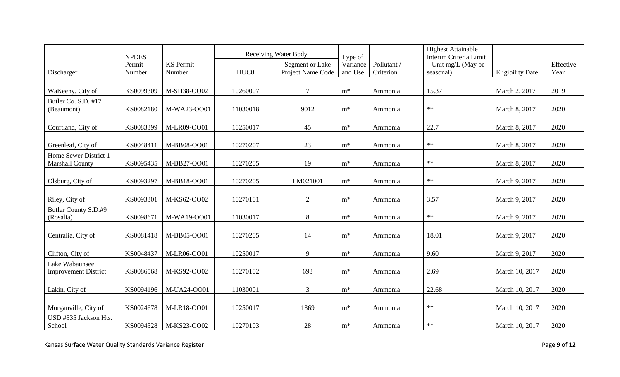|                                 | <b>NPDES</b> |                  | <b>Receiving Water Body</b> |                   | Type of  |            | <b>Highest Attainable</b><br>Interim Criteria Limit |                         |           |
|---------------------------------|--------------|------------------|-----------------------------|-------------------|----------|------------|-----------------------------------------------------|-------------------------|-----------|
|                                 | Permit       | <b>KS</b> Permit |                             | Segment or Lake   | Variance | Pollutant/ | $-$ Unit mg/L (May be                               |                         | Effective |
| Discharger                      | Number       | Number           | HUC <sub>8</sub>            | Project Name Code | and Use  | Criterion  | seasonal)                                           | <b>Eligibility Date</b> | Year      |
|                                 |              |                  |                             |                   |          |            |                                                     |                         |           |
| WaKeeny, City of                | KS0099309    | M-SH38-OO02      | 10260007                    | 7                 | $m^*$    | Ammonia    | 15.37                                               | March 2, 2017           | 2019      |
| Butler Co. S.D. #17             |              |                  |                             |                   |          |            |                                                     |                         |           |
| (Beaumont)                      | KS0082180    | M-WA23-OO01      | 11030018                    | 9012              | $m^*$    | Ammonia    | $\ast\ast$                                          | March 8, 2017           | 2020      |
| Courtland, City of              | KS0083399    | M-LR09-OO01      | 10250017                    | 45                | $m^*$    | Ammonia    | 22.7                                                | March 8, 2017           | 2020      |
|                                 |              |                  |                             |                   |          |            |                                                     |                         |           |
| Greenleaf, City of              | KS0048411    | M-BB08-OO01      | 10270207                    | 23                | $m^*$    | Ammonia    | $\ast\ast$                                          | March 8, 2017           | 2020      |
| Home Sewer District 1-          |              |                  |                             |                   |          |            |                                                     |                         |           |
| <b>Marshall County</b>          | KS0095435    | M-BB27-OO01      | 10270205                    | 19                | $m^*$    | Ammonia    | $\ast\ast$                                          | March 8, 2017           | 2020      |
|                                 |              |                  |                             |                   |          |            |                                                     |                         |           |
| Olsburg, City of                | KS0093297    | M-BB18-OO01      | 10270205                    | LM021001          | $m^*$    | Ammonia    | $\ast\ast$                                          | March 9, 2017           | 2020      |
|                                 |              |                  |                             |                   |          |            |                                                     |                         |           |
| Riley, City of                  | KS0093301    | M-KS62-OO02      | 10270101                    | $\overline{2}$    | $m^*$    | Ammonia    | 3.57                                                | March 9, 2017           | 2020      |
| Butler County S.D.#9            |              |                  |                             |                   |          |            |                                                     |                         |           |
| (Rosalia)                       | KS0098671    | M-WA19-OO01      | 11030017                    | 8                 | $m^*$    | Ammonia    | $\ast\ast$                                          | March 9, 2017           | 2020      |
|                                 |              |                  |                             |                   |          |            |                                                     |                         |           |
| Centralia, City of              | KS0081418    | M-BB05-OO01      | 10270205                    | 14                | $m^*$    | Ammonia    | 18.01                                               | March 9, 2017           | 2020      |
| Clifton, City of                | KS0048437    | M-LR06-OO01      | 10250017                    | 9                 | $m^*$    | Ammonia    | 9.60                                                | March 9, 2017           | 2020      |
| Lake Wabaunsee                  |              |                  |                             |                   |          |            |                                                     |                         |           |
| <b>Improvement District</b>     | KS0086568    | M-KS92-OO02      | 10270102                    | 693               | $m^*$    | Ammonia    | 2.69                                                | March 10, 2017          | 2020      |
|                                 |              |                  |                             |                   |          |            |                                                     |                         |           |
| Lakin, City of                  | KS0094196    | M-UA24-OO01      | 11030001                    | $\mathfrak{Z}$    | $m^*$    | Ammonia    | 22.68                                               | March 10, 2017          | 2020      |
|                                 |              |                  |                             |                   |          |            | $\ast\ast$                                          |                         |           |
| Morganville, City of            | KS0024678    | M-LR18-OO01      | 10250017                    | 1369              | $m^*$    | Ammonia    |                                                     | March 10, 2017          | 2020      |
| USD #335 Jackson Hts.<br>School | KS0094528    | M-KS23-OO02      | 10270103                    | 28                | $m^*$    | Ammonia    | $\ast\ast$                                          | March 10, 2017          | 2020      |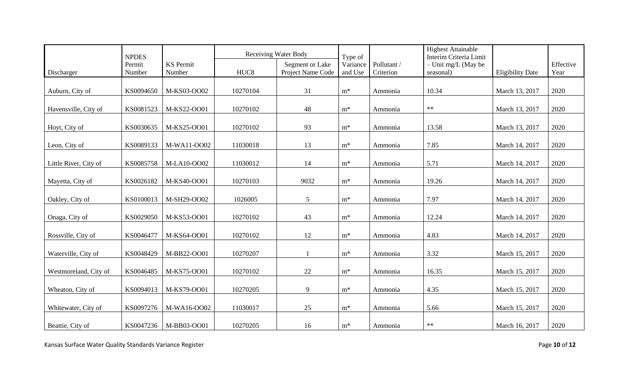|                       | <b>NPDES</b> |                  |                  | <b>Receiving Water Body</b> | Type of        |            | <b>Highest Attainable</b><br>Interim Criteria Limit |                         |           |
|-----------------------|--------------|------------------|------------------|-----------------------------|----------------|------------|-----------------------------------------------------|-------------------------|-----------|
|                       | Permit       | <b>KS</b> Permit |                  | Segment or Lake             | Variance       | Pollutant/ | $-$ Unit mg/L (May be                               |                         | Effective |
| Discharger            | Number       | Number           | HUC <sub>8</sub> | Project Name Code           | and Use        | Criterion  | seasonal)                                           | <b>Eligibility Date</b> | Year      |
|                       |              |                  |                  |                             |                |            |                                                     |                         |           |
| Auburn, City of       | KS0094650    | M-KS03-OO02      | 10270104         | 31                          | $m^*$          | Ammonia    | 10.34                                               | March 13, 2017          | 2020      |
| Havensville, City of  | KS0081523    | M-KS22-OO01      | 10270102         | 48                          | $m^*$          | Ammonia    | $\ast\ast$                                          | March 13, 2017          | 2020      |
| Hoyt, City of         | KS0030635    | M-KS25-OO01      | 10270102         | 93                          | $m^*$          | Ammonia    | 13.58                                               | March 13, 2017          | 2020      |
| Leon, City of         | KS0089133    | M-WA11-OO02      | 11030018         | 13                          | $m^*$          | Ammonia    | 7.85                                                | March 14, 2017          | 2020      |
| Little River, City of | KS0085758    | M-LA10-OO02      | 11030012         | 14                          | $m^*$          | Ammonia    | 5.71                                                | March 14, 2017          | 2020      |
| Mayetta, City of      | KS0026182    | M-KS40-OO01      | 10270103         | 9032                        | $m^*$          | Ammonia    | 19.26                                               | March 14, 2017          | 2020      |
| Oakley, City of       | KS0100013    | M-SH29-OO02      | 1026005          | $\overline{5}$              | $m^*$          | Ammonia    | 7.97                                                | March 14, 2017          | 2020      |
| Onaga, City of        | KS0029050    | M-KS53-OO01      | 10270102         | 43                          | $m^*$          | Ammonia    | 12.24                                               | March 14, 2017          | 2020      |
| Rossville, City of    | KS0046477    | M-KS64-OO01      | 10270102         | 12                          | $m^*$          | Ammonia    | 4.83                                                | March 14, 2017          | 2020      |
| Waterville, City of   | KS0048429    | M-BB22-OO01      | 10270207         | $\mathbf{1}$                | $m^*$          | Ammonia    | 3.32                                                | March 15, 2017          | 2020      |
| Westmoreland, City of | KS0046485    | M-KS75-OO01      | 10270102         | 22                          | $m^*$          | Ammonia    | 16.35                                               | March 15, 2017          | 2020      |
| Wheaton, City of      | KS0094013    | M-KS79-OO01      | 10270205         | 9                           | $\mathbf{m}^*$ | Ammonia    | 4.35                                                | March 15, 2017          | 2020      |
| Whitewater, City of   | KS0097276    | M-WA16-OO02      | 11030017         | 25                          | $m^*$          | Ammonia    | 5.66                                                | March 15, 2017          | 2020      |
| Beattie, City of      | KS0047236    | M-BB03-OO01      | 10270205         | 16                          | $m^*$          | Ammonia    | $**$                                                | March 16, 2017          | 2020      |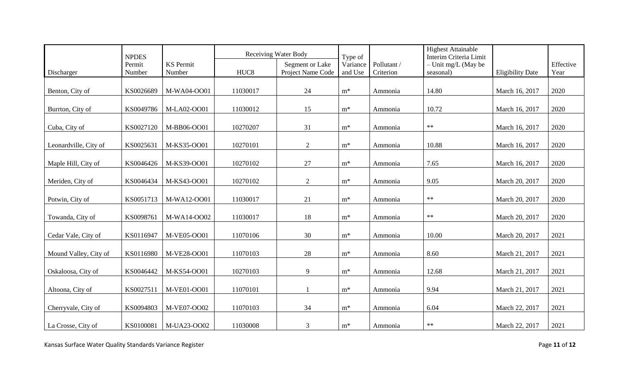|                       | <b>NPDES</b> |                  |                  | <b>Receiving Water Body</b> | Type of        |            | <b>Highest Attainable</b><br>Interim Criteria Limit |                         |           |
|-----------------------|--------------|------------------|------------------|-----------------------------|----------------|------------|-----------------------------------------------------|-------------------------|-----------|
|                       | Permit       | <b>KS</b> Permit |                  | Segment or Lake             | Variance       | Pollutant/ | $-$ Unit mg/L (May be                               |                         | Effective |
| Discharger            | Number       | Number           | HUC <sub>8</sub> | Project Name Code           | and Use        | Criterion  | seasonal)                                           | <b>Eligibility Date</b> | Year      |
|                       |              |                  |                  |                             |                |            |                                                     |                         |           |
| Benton, City of       | KS0026689    | M-WA04-OO01      | 11030017         | 24                          | $m^*$          | Ammonia    | 14.80                                               | March 16, 2017          | 2020      |
| Burrton, City of      | KS0049786    | M-LA02-OO01      | 11030012         | 15                          | $m^*$          | Ammonia    | 10.72                                               | March 16, 2017          | 2020      |
| Cuba, City of         | KS0027120    | M-BB06-OO01      | 10270207         | 31                          | $m^*$          | Ammonia    | $\ast\ast$                                          | March 16, 2017          | 2020      |
| Leonardville, City of | KS0025631    | M-KS35-OO01      | 10270101         | 2                           | $m^*$          | Ammonia    | 10.88                                               | March 16, 2017          | 2020      |
| Maple Hill, City of   | KS0046426    | M-KS39-OO01      | 10270102         | 27                          | $m^*$          | Ammonia    | 7.65                                                | March 16, 2017          | 2020      |
| Meriden, City of      | KS0046434    | M-KS43-OO01      | 10270102         | 2                           | $\mathbf{m}^*$ | Ammonia    | 9.05                                                | March 20, 2017          | 2020      |
| Potwin, City of       | KS0051713    | M-WA12-OO01      | 11030017         | 21                          | $m^*$          | Ammonia    | $\ast\ast$                                          | March 20, 2017          | 2020      |
| Towanda, City of      | KS0098761    | M-WA14-OO02      | 11030017         | 18                          | $\mathbf{m}^*$ | Ammonia    | $\ast\ast$                                          | March 20, 2017          | 2020      |
| Cedar Vale, City of   | KS0116947    | M-VE05-OO01      | 11070106         | 30                          | $m^*$          | Ammonia    | 10.00                                               | March 20, 2017          | 2021      |
| Mound Valley, City of | KS0116980    | M-VE28-OO01      | 11070103         | 28                          | $m^*$          | Ammonia    | 8.60                                                | March 21, 2017          | 2021      |
| Oskaloosa, City of    | KS0046442    | M-KS54-OO01      | 10270103         | 9                           | $m^*$          | Ammonia    | 12.68                                               | March 21, 2017          | 2021      |
| Altoona, City of      | KS0027511    | M-VE01-OO01      | 11070101         |                             | $m^*$          | Ammonia    | 9.94                                                | March 21, 2017          | 2021      |
| Cherryvale, City of   | KS0094803    | M-VE07-OO02      | 11070103         | 34                          | $m^*$          | Ammonia    | 6.04                                                | March 22, 2017          | 2021      |
| La Crosse, City of    | KS0100081    | M-UA23-OO02      | 11030008         | 3                           | $m^*$          | Ammonia    | $\ast\ast$                                          | March 22, 2017          | 2021      |